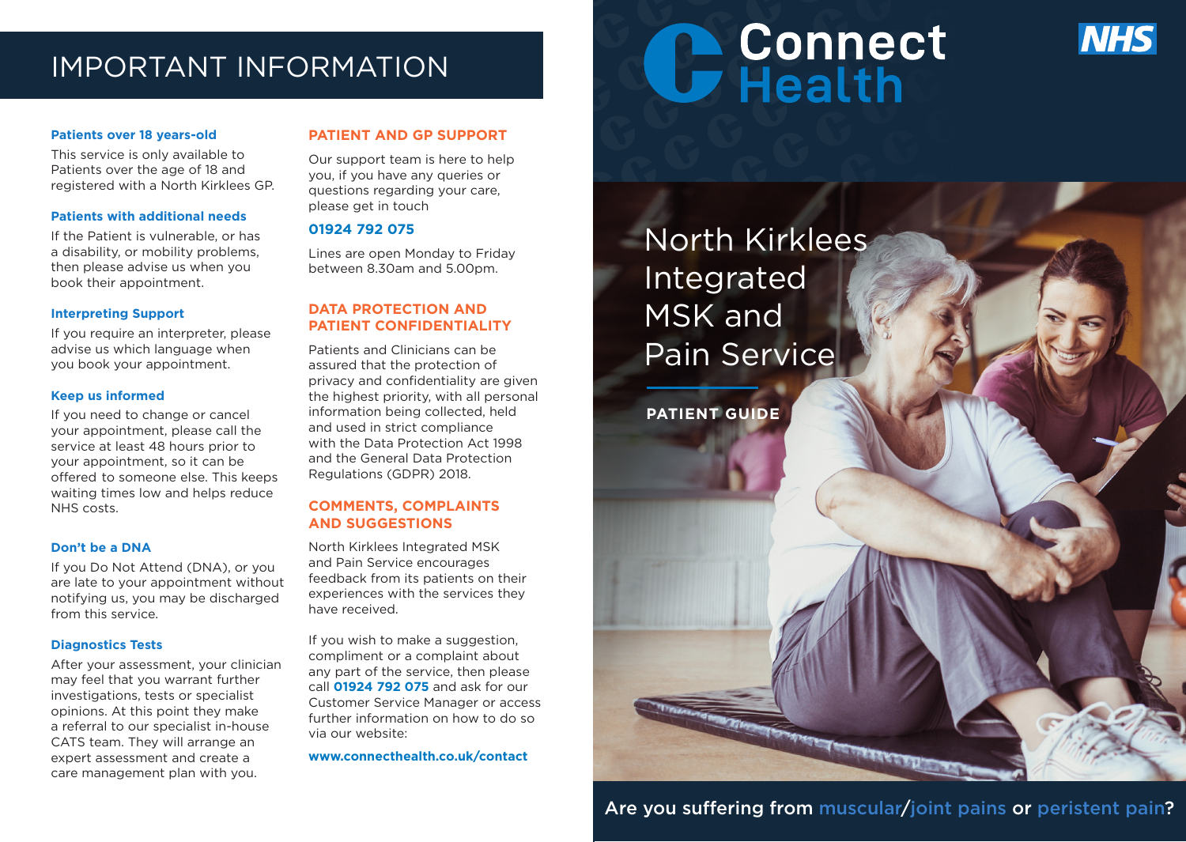# IMPORTANT INFORMATION

### **Patients over 18 years-old**

This service is only available to Patients over the age of 18 and registered with a North Kirklees GP.

### **Patients with additional needs**

If the Patient is vulnerable, or has a disability, or mobility problems, then please advise us when you book their appointment.

### **Interpreting Support**

If you require an interpreter, please advise us which language when you book your appointment.

### **Keep us informed**

If you need to change or cancel your appointment, please call the service at least 48 hours prior to your appointment, so it can be offered to someone else. This keeps waiting times low and helps reduce NHS costs.

### **Don't be a DNA**

If you Do Not Attend (DNA), or you are late to your appointment without notifying us, you may be discharged from this service.

### **Diagnostics Tests**

After your assessment, your clinician may feel that you warrant further investigations, tests or specialist opinions. At this point they make a referral to our specialist in-house CATS team. They will arrange an expert assessment and create a care management plan with you.

# **PATIENT AND GP SUPPORT**

Our support team is here to help you, if you have any queries or questions regarding your care, please get in touch

# **01924 792 075**

Lines are open Monday to Friday between 8.30am and 5.00pm.

# **DATA PROTECTION AND PATIENT CONFIDENTIALITY**

Patients and Clinicians can be assured that the protection of privacy and confidentiality are given the highest priority, with all personal information being collected, held and used in strict compliance with the Data Protection Act 1998 and the General Data Protection Regulations (GDPR) 2018.

# **COMMENTS, COMPLAINTS AND SUGGESTIONS**

North Kirklees Integrated MSK and Pain Service encourages feedback from its patients on their experiences with the services they have received.

If you wish to make a suggestion, compliment or a complaint about any part of the service, then please call **01924 792 075** and ask for our Customer Service Manager or access further information on how to do so via our website:

**www.connecthealth.co.uk/contact**

# C Connect



North Kirklees Integrated MSK and Pain Service

**PATIENT GUIDE**



a de l'Albert de la Partie de la Carde